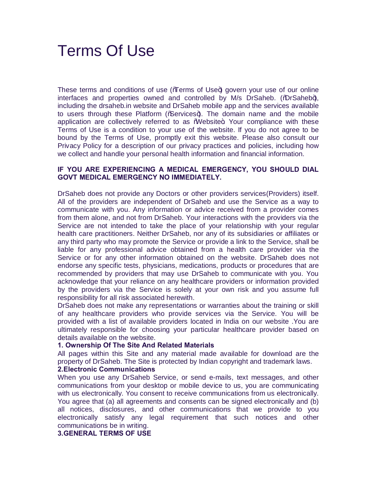# Terms Of Use

These terms and conditions of use (Terms of Use+) govern your use of our online interfaces and properties owned and controlled by M/s DrSaheb. (%DrSaheb+), including the drsaheb.in website and DrSaheb mobile app and the services available to users through these Platform (% Services+). The domain name and the mobile application are collectively referred to as Website+. Your compliance with these Terms of Use is a condition to your use of the website. If you do not agree to be bound by the Terms of Use, promptly exit this website. Please also consult our Privacy Policy for a description of our privacy practices and policies, including how we collect and handle your personal health information and financial information.

## **IF YOU ARE EXPERIENCING A MEDICAL EMERGENCY, YOU SHOULD DIAL GOVT MEDICAL EMERGENCY NO IMMEDIATELY.**

DrSaheb does not provide any Doctors or other providers services(Providers) itself. All of the providers are independent of DrSaheb and use the Service as a way to communicate with you. Any information or advice received from a provider comes from them alone, and not from DrSaheb. Your interactions with the providers via the Service are not intended to take the place of your relationship with your regular health care practitioners. Neither DrSaheb, nor any of its subsidiaries or affiliates or any third party who may promote the Service or provide a link to the Service, shall be liable for any professional advice obtained from a health care provider via the Service or for any other information obtained on the website. DrSaheb does not endorse any specific tests, physicians, medications, products or procedures that are recommended by providers that may use DrSaheb to communicate with you. You acknowledge that your reliance on any healthcare providers or information provided by the providers via the Service is solely at your own risk and you assume full responsibility for all risk associated herewith.

DrSaheb does not make any representations or warranties about the training or skill of any healthcare providers who provide services via the Service. You will be provided with a list of available providers located in India on our website .You are ultimately responsible for choosing your particular healthcare provider based on details available on the website.

#### **1. Ownership Of The Site And Related Materials**

All pages within this Site and any material made available for download are the property of DrSaheb. The Site is protected by Indian copyright and trademark laws.

## **2.Electronic Communications**

When you use any DrSaheb Service, or send e-mails, text messages, and other communications from your desktop or mobile device to us, you are communicating with us electronically. You consent to receive communications from us electronically. You agree that (a) all agreements and consents can be signed electronically and (b) all notices, disclosures, and other communications that we provide to you electronically satisfy any legal requirement that such notices and other communications be in writing.

**3.GENERAL TERMS OF USE**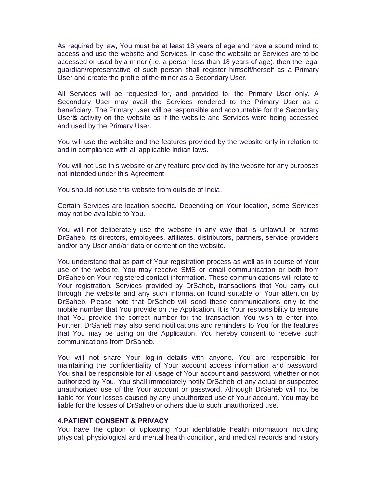As required by law, You must be at least 18 years of age and have a sound mind to access and use the website and Services. In case the website or Services are to be accessed or used by a minor (i.e. a person less than 18 years of age), then the legal guardian/representative of such person shall register himself/herself as a Primary User and create the profile of the minor as a Secondary User.

All Services will be requested for, and provided to, the Primary User only. A Secondary User may avail the Services rendered to the Primary User as a beneficiary. The Primary User will be responsible and accountable for the Secondary User a activity on the website as if the website and Services were being accessed and used by the Primary User.

You will use the website and the features provided by the website only in relation to and in compliance with all applicable Indian laws.

You will not use this website or any feature provided by the website for any purposes not intended under this Agreement.

You should not use this website from outside of India.

Certain Services are location specific. Depending on Your location, some Services may not be available to You.

You will not deliberately use the website in any way that is unlawful or harms DrSaheb, its directors, employees, affiliates, distributors, partners, service providers and/or any User and/or data or content on the website.

You understand that as part of Your registration process as well as in course of Your use of the website, You may receive SMS or email communication or both from DrSaheb on Your registered contact information. These communications will relate to Your registration, Services provided by DrSaheb, transactions that You carry out through the website and any such information found suitable of Your attention by DrSaheb. Please note that DrSaheb will send these communications only to the mobile number that You provide on the Application. It is Your responsibility to ensure that You provide the correct number for the transaction You wish to enter into. Further, DrSaheb may also send notifications and reminders to You for the features that You may be using on the Application. You hereby consent to receive such communications from DrSaheb.

You will not share Your log-in details with anyone. You are responsible for maintaining the confidentiality of Your account access information and password. You shall be responsible for all usage of Your account and password, whether or not authorized by You. You shall immediately notify DrSaheb of any actual or suspected unauthorized use of the Your account or password. Although DrSaheb will not be liable for Your losses caused by any unauthorized use of Your account, You may be liable for the losses of DrSaheb or others due to such unauthorized use.

# **4.PATIENT CONSENT & PRIVACY**

You have the option of uploading Your identifiable health information including physical, physiological and mental health condition, and medical records and history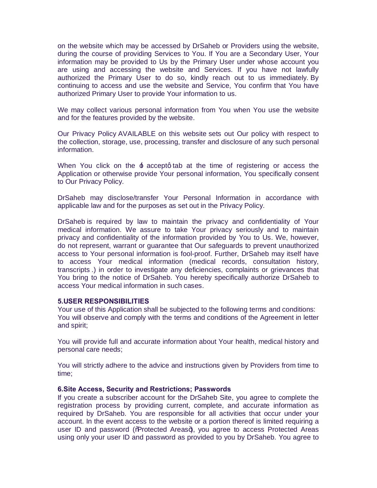on the website which may be accessed by DrSaheb or Providers using the website, during the course of providing Services to You. If You are a Secondary User, Your information may be provided to Us by the Primary User under whose account you are using and accessing the website and Services. If you have not lawfully authorized the Primary User to do so, kindly reach out to us immediately. By continuing to access and use the website and Service, You confirm that You have authorized Primary User to provide Your information to us.

We may collect various personal information from You when You use the website and for the features provided by the website.

Our Privacy Policy AVAILABLE on this website sets out Our policy with respect to the collection, storage, use, processing, transfer and disclosure of any such personal information.

When You click on the  $\pm$  acceptq tab at the time of registering or access the Application or otherwise provide Your personal information, You specifically consent to Our Privacy Policy.

DrSaheb may disclose/transfer Your Personal Information in accordance with applicable law and for the purposes as set out in the Privacy Policy.

DrSaheb is required by law to maintain the privacy and confidentiality of Your medical information. We assure to take Your privacy seriously and to maintain privacy and confidentiality of the information provided by You to Us. We, however, do not represent, warrant or guarantee that Our safeguards to prevent unauthorized access to Your personal information is fool-proof. Further, DrSaheb may itself have to access Your medical information (medical records, consultation history, transcripts .) in order to investigate any deficiencies, complaints or grievances that You bring to the notice of DrSaheb. You hereby specifically authorize DrSaheb to access Your medical information in such cases.

## **5.USER RESPONSIBILITIES**

Your use of this Application shall be subjected to the following terms and conditions: You will observe and comply with the terms and conditions of the Agreement in letter and spirit;

You will provide full and accurate information about Your health, medical history and personal care needs;

You will strictly adhere to the advice and instructions given by Providers from time to time;

## **6.Site Access, Security and Restrictions; Passwords**

If you create a subscriber account for the DrSaheb Site, you agree to complete the registration process by providing current, complete, and accurate information as required by DrSaheb. You are responsible for all activities that occur under your account. In the event access to the website or a portion thereof is limited requiring a user ID and password (%Rrotected Areas+), you agree to access Protected Areas using only your user ID and password as provided to you by DrSaheb. You agree to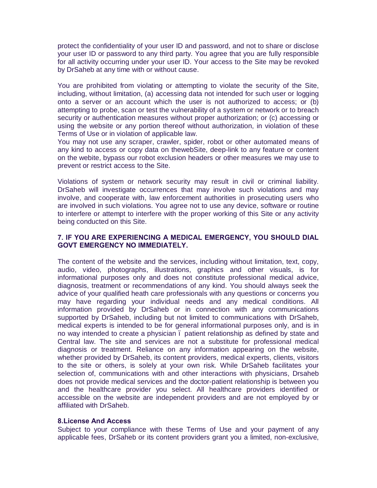protect the confidentiality of your user ID and password, and not to share or disclose your user ID or password to any third party. You agree that you are fully responsible for all activity occurring under your user ID. Your access to the Site may be revoked by DrSaheb at any time with or without cause.

You are prohibited from violating or attempting to violate the security of the Site, including, without limitation, (a) accessing data not intended for such user or logging onto a server or an account which the user is not authorized to access; or (b) attempting to probe, scan or test the vulnerability of a system or network or to breach security or authentication measures without proper authorization; or (c) accessing or using the website or any portion thereof without authorization, in violation of these Terms of Use or in violation of applicable law.

You may not use any scraper, crawler, spider, robot or other automated means of any kind to access or copy data on thewebSite, deep-link to any feature or content on the webite, bypass our robot exclusion headers or other measures we may use to prevent or restrict access to the Site.

Violations of system or network security may result in civil or criminal liability. DrSaheb will investigate occurrences that may involve such violations and may involve, and cooperate with, law enforcement authorities in prosecuting users who are involved in such violations. You agree not to use any device, software or routine to interfere or attempt to interfere with the proper working of this Site or any activity being conducted on this Site.

## **7. IF YOU ARE EXPERIENCING A MEDICAL EMERGENCY, YOU SHOULD DIAL GOVT EMERGENCY NO IMMEDIATELY.**

The content of the website and the services, including without limitation, text, copy, audio, video, photographs, illustrations, graphics and other visuals, is for informational purposes only and does not constitute professional medical advice, diagnosis, treatment or recommendations of any kind. You should always seek the advice of your qualified heath care professionals with any questions or concerns you may have regarding your individual needs and any medical conditions. All information provided by DrSaheb or in connection with any communications supported by DrSaheb, including but not limited to communications with DrSaheb, medical experts is intended to be for general informational purposes only, and is in no way intended to create a physician – patient relationship as defined by state and Central law. The site and services are not a substitute for professional medical diagnosis or treatment. Reliance on any information appearing on the website, whether provided by DrSaheb, its content providers, medical experts, clients, visitors to the site or others, is solely at your own risk. While DrSaheb facilitates your selection of, communications with and other interactions with physicians, Drsaheb does not provide medical services and the doctor-patient relationship is between you and the healthcare provider you select. All healthcare providers identified or accessible on the website are independent providers and are not employed by or affiliated with DrSaheb.

## **8.License And Access**

Subject to your compliance with these Terms of Use and your payment of any applicable fees, DrSaheb or its content providers grant you a limited, non-exclusive,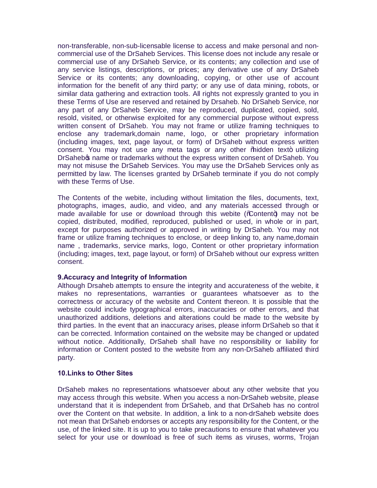non-transferable, non-sub-licensable license to access and make personal and noncommercial use of the DrSaheb Services. This license does not include any resale or commercial use of any DrSaheb Service, or its contents; any collection and use of any service listings, descriptions, or prices; any derivative use of any DrSaheb Service or its contents; any downloading, copying, or other use of account information for the benefit of any third party; or any use of data mining, robots, or similar data gathering and extraction tools. All rights not expressly granted to you in these Terms of Use are reserved and retained by Drsaheb. No DrSaheb Service, nor any part of any DrSaheb Service, may be reproduced, duplicated, copied, sold, resold, visited, or otherwise exploited for any commercial purpose without express written consent of DrSaheb. You may not frame or utilize framing techniques to enclose any trademark,domain name, logo, or other proprietary information (including images, text, page layout, or form) of DrSaheb without express written consent. You may not use any meta tags or any other % hidden text+ utilizing DrSaheb<sub>®</sub> name or trademarks without the express written consent of DrSaheb. You may not misuse the DrSaheb Services. You may use the DrSaheb Services only as permitted by law. The licenses granted by DrSaheb terminate if you do not comply with these Terms of Use.

The Contents of the webite, including without limitation the files, documents, text, photographs, images, audio, and video, and any materials accessed through or made available for use or download through this webite ( $\%$ ontent+) may not be copied, distributed, modified, reproduced, published or used, in whole or in part, except for purposes authorized or approved in writing by DrSaheb. You may not frame or utilize framing techniques to enclose, or deep linking to, any name,domain name , trademarks, service marks, logo, Content or other proprietary information (including; images, text, page layout, or form) of DrSaheb without our express written consent.

## **9.Accuracy and Integrity of Information**

Although Drsaheb attempts to ensure the integrity and accurateness of the webite, it makes no representations, warranties or guarantees whatsoever as to the correctness or accuracy of the website and Content thereon. It is possible that the website could include typographical errors, inaccuracies or other errors, and that unauthorized additions, deletions and alterations could be made to the website by third parties. In the event that an inaccuracy arises, please inform DrSaheb so that it can be corrected. Information contained on the website may be changed or updated without notice. Additionally, DrSaheb shall have no responsibility or liability for information or Content posted to the website from any non-DrSaheb affiliated third party.

## **10.Links to Other Sites**

DrSaheb makes no representations whatsoever about any other website that you may access through this website. When you access a non-DrSaheb website, please understand that it is independent from DrSaheb, and that DrSaheb has no control over the Content on that website. In addition, a link to a non-drSaheb website does not mean that DrSaheb endorses or accepts any responsibility for the Content, or the use, of the linked site. It is up to you to take precautions to ensure that whatever you select for your use or download is free of such items as viruses, worms, Trojan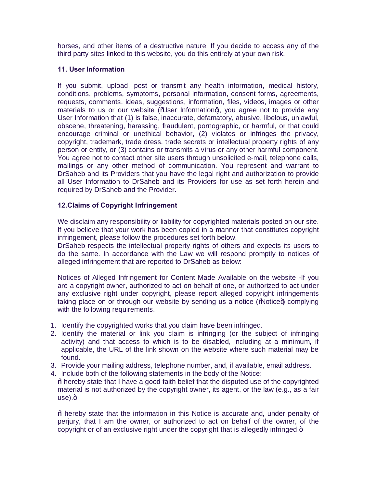horses, and other items of a destructive nature. If you decide to access any of the third party sites linked to this website, you do this entirely at your own risk.

# **11. User Information**

If you submit, upload, post or transmit any health information, medical history, conditions, problems, symptoms, personal information, consent forms, agreements, requests, comments, ideas, suggestions, information, files, videos, images or other materials to us or our website (% Jser Information+), you agree not to provide any User Information that (1) is false, inaccurate, defamatory, abusive, libelous, unlawful, obscene, threatening, harassing, fraudulent, pornographic, or harmful, or that could encourage criminal or unethical behavior, (2) violates or infringes the privacy, copyright, trademark, trade dress, trade secrets or intellectual property rights of any person or entity, or (3) contains or transmits a virus or any other harmful component. You agree not to contact other site users through unsolicited e-mail, telephone calls, mailings or any other method of communication. You represent and warrant to DrSaheb and its Providers that you have the legal right and authorization to provide all User Information to DrSaheb and its Providers for use as set forth herein and required by DrSaheb and the Provider.

# **12.Claims of Copyright Infringement**

We disclaim any responsibility or liability for copyrighted materials posted on our site. If you believe that your work has been copied in a manner that constitutes copyright infringement, please follow the procedures set forth below.

DrSaheb respects the intellectual property rights of others and expects its users to do the same. In accordance with the Law we will respond promptly to notices of alleged infringement that are reported to DrSaheb as below:

Notices of Alleged Infringement for Content Made Available on the website -If you are a copyright owner, authorized to act on behalf of one, or authorized to act under any exclusive right under copyright, please report alleged copyright infringements taking place on or through our website by sending us a notice  $(\%$  otice+) complying with the following requirements.

- 1. Identify the copyrighted works that you claim have been infringed.
- 2. Identify the material or link you claim is infringing (or the subject of infringing activity) and that access to which is to be disabled, including at a minimum, if applicable, the URL of the link shown on the website where such material may be found.
- 3. Provide your mailing address, telephone number, and, if available, email address.
- 4. Include both of the following statements in the body of the Notice:
- % thereby state that I have a good faith belief that the disputed use of the copyrighted material is not authorized by the copyright owner, its agent, or the law (e.g., as a fair  $use).+$

% hereby state that the information in this Notice is accurate and, under penalty of perjury, that I am the owner, or authorized to act on behalf of the owner, of the copyright or of an exclusive right under the copyright that is allegedly infringed.+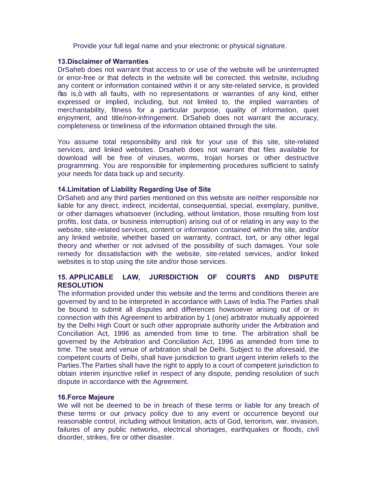Provide your full legal name and your electronic or physical signature.

## **13.Disclaimer of Warranties**

DrSaheb does not warrant that access to or use of the website will be uninterrupted or error-free or that defects in the website will be corrected. this website, including any content or information contained within it or any site-related service, is provided % as is,+ with all faults, with no representations or warranties of any kind, either expressed or implied, including, but not limited to, the implied warranties of merchantability, fitness for a particular purpose, quality of information, quiet enjoyment, and title/non-infringement. DrSaheb does not warrant the accuracy, completeness or timeliness of the information obtained through the site.

You assume total responsibility and risk for your use of this site, site-related services, and linked websites. Drsaheb does not warrant that files available for download will be free of viruses, worms, trojan horses or other destructive programming. You are responsible for implementing procedures sufficient to satisfy your needs for data back up and security.

## **14.Limitation of Liability Regarding Use of Site**

DrSaheb and any third parties mentioned on this website are neither responsible nor liable for any direct, indirect, incidental, consequential, special, exemplary, punitive, or other damages whatsoever (including, without limitation, those resulting from lost profits, lost data, or business interruption) arising out of or relating in any way to the website, site-related services, content or information contained within the site, and/or any linked website, whether based on warranty, contract, tort, or any other legal theory and whether or not advised of the possibility of such damages. Your sole remedy for dissatisfaction with the website, site-related services, and/or linked websites is to stop using the site and/or those services.

# **15. APPLICABLE LAW, JURISDICTION OF COURTS AND DISPUTE RESOLUTION**

The information provided under this website and the terms and conditions therein are governed by and to be interpreted in accordance with Laws of India.The Parties shall be bound to submit all disputes and differences howsoever arising out of or in connection with this Agreement to arbitration by 1 (one) arbitrator mutually appointed by the Delhi High Court or such other appropriate authority under the Arbitration and Conciliation Act, 1996 as amended from time to time. The arbitration shall be governed by the Arbitration and Conciliation Act, 1996 as amended from time to time. The seat and venue of arbitration shall be Delhi. Subject to the aforesaid, the competent courts of Delhi, shall have jurisdiction to grant urgent interim reliefs to the Parties.The Parties shall have the right to apply to a court of competent jurisdiction to obtain interim injunctive relief in respect of any dispute, pending resolution of such dispute in accordance with the Agreement.

## **16.Force Majeure**

We will not be deemed to be in breach of these terms or liable for any breach of these terms or our privacy policy due to any event or occurrence beyond our reasonable control, including without limitation, acts of God, terrorism, war, invasion, failures of any public networks, electrical shortages, earthquakes or floods, civil disorder, strikes, fire or other disaster.